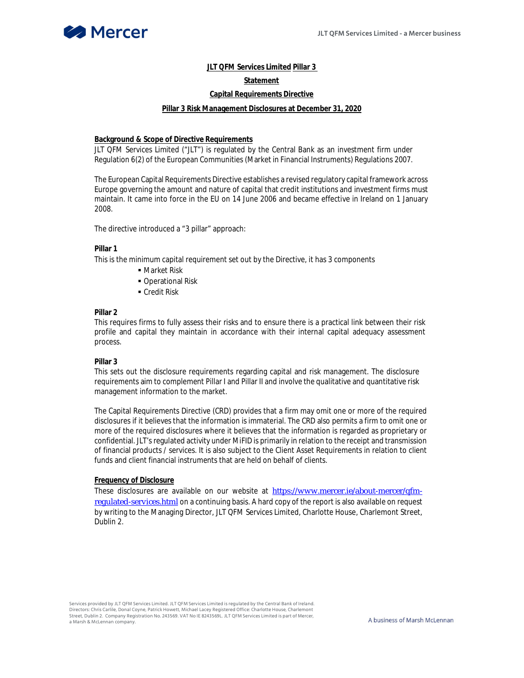

# **JLT QFM Services Limited Pillar 3**

# **Statement**

# **Capital Requirements Directive**

#### **Pillar 3 Risk Management Disclosures at December 31, 2020**

#### **Background & Scope of Directive Requirements**

JLT QFM Services Limited ("JLT") is regulated by the Central Bank as an investment firm under Regulation 6(2) of the European Communities (Market in Financial Instruments) Regulations 2007.

The European Capital Requirements Directive establishes a revised regulatory capital framework across Europe governing the amount and nature of capital that credit institutions and investment firms must maintain. It came into force in the EU on 14 June 2006 and became effective in Ireland on 1 January 2008.

The directive introduced a "3 pillar" approach:

#### **Pillar 1**

This is the minimum capital requirement set out by the Directive, it has 3 components

- Market Risk
- **Operational Risk**
- **Credit Risk**

# **Pillar 2**

This requires firms to fully assess their risks and to ensure there is a practical link between their risk profile and capital they maintain in accordance with their internal capital adequacy assessment process.

## **Pillar 3**

This sets out the disclosure requirements regarding capital and risk management. The disclosure requirements aim to complement Pillar I and Pillar II and involve the qualitative and quantitative risk management information to the market.

The Capital Requirements Directive (CRD) provides that a firm may omit one or more of the required disclosures if it believes that the information is immaterial. The CRD also permits a firm to omit one or more of the required disclosures where it believes that the information is regarded as proprietary or confidential. JLT's regulated activity under MiFID is primarily in relation to the receipt and transmission of financial products / services. It is also subject to the Client Asset Requirements in relation to client funds and client financial instruments that are held on behalf of clients.

# **Frequency of Disclosure**

These disclosures are available on our website at https://www.mercer.ie/about-mercer/qfmregulated-services.html on a continuing basis. A hard copy of the report is also available on request by writing to the Managing Director, JLT QFM Services Limited, Charlotte House, Charlemont Street, Dublin 2.

Services provided by JLT QFM Services Limited. JLT QFM Services Limited is regulated by the Central Bank of Ireland. Directors: Chris Carlile, Donal Coyne, Patrick Howett, Michael Lacey Registered Office: Charlotte House, Charlemont Street, Dublin 2. Company Registration No. 243569. VAT No IE 8243569L. JLT QFM Services Limited is part of Mercer, a Marsh & McLennan company.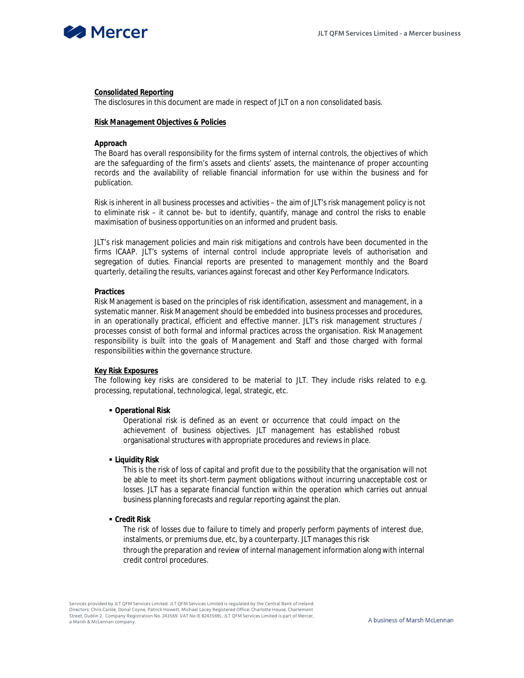

## **Consolidated Reporting**

The disclosures in this document are made in respect of JLT on a non consolidated basis.

## **Risk Management Objectives & Policies**

#### **Approach**

The Board has overall responsibility for the firms system of internal controls, the objectives of which are the safeguarding of the firm's assets and clients' assets, the maintenance of proper accounting records and the availability of reliable financial information for use within the business and for publication.

Risk is inherent in all business processes and activities – the aim of JLT's risk management policy is not to eliminate risk – it cannot be- but to identify, quantify, manage and control the risks to enable maximisation of business opportunities on an informed and prudent basis.

JLT's risk management policies and main risk mitigations and controls have been documented in the firms ICAAP. JLT's systems of internal control include appropriate levels of authorisation and segregation of duties. Financial reports are presented to management monthly and the Board quarterly, detailing the results, variances against forecast and other Key Performance Indicators.

### **Practices**

Risk Management is based on the principles of risk identification, assessment and management, in a systematic manner. Risk Management should be embedded into business processes and procedures, in an operationally practical, efficient and effective manner. JLT's risk management structures / processes consist of both formal and informal practices across the organisation. Risk Management responsibility is built into the goals of Management and Staff and those charged with formal responsibilities within the governance structure.

#### **Key Risk Exposures**

The following key risks are considered to be material to JLT. They include risks related to e.g. processing, reputational, technological, legal, strategic, etc.

## **Operational Risk**

Operational risk is defined as an event or occurrence that could impact on the achievement of business objectives. JLT management has established robust organisational structures with appropriate procedures and reviews in place.

## **Liquidity Risk**

This is the risk of loss of capital and profit due to the possibility that the organisation will not be able to meet its short-term payment obligations without incurring unacceptable cost or losses. JLT has a separate financial function within the operation which carries out annual business planning forecasts and regular reporting against the plan.

**Credit Risk**

The risk of losses due to failure to timely and properly perform payments of interest due, instalments, or premiums due, etc, by a counterparty. JLT manages this risk through the preparation and review of internal management information along with internal credit control procedures.

Services provided by JLT QFM Services Limited. JLT QFM Services Limited is regulated by the Central Bank of Ireland. Directors: Chris Carlile, Donal Coyne, Patrick Howett, Michael Lacey Registered Office: Charlotte House, Charlemont Street, Dublin 2. Company Registration No. 243569. VAT No IE 8243569L. JLT QFM Services Limited is part of Mercer, a Marsh & McLennan company.